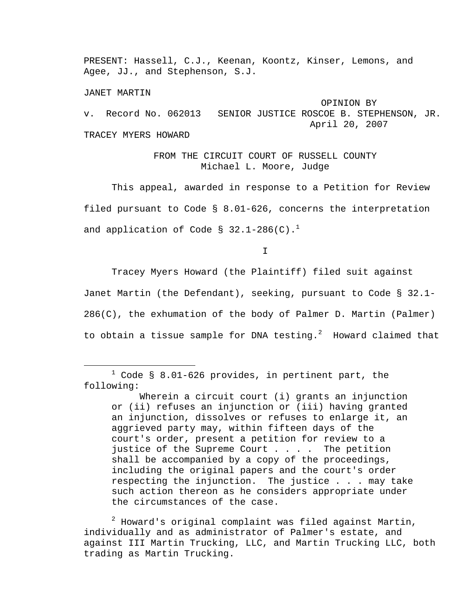PRESENT: Hassell, C.J., Keenan, Koontz, Kinser, Lemons, and Agee, JJ., and Stephenson, S.J.

JANET MARTIN

 OPINION BY v. Record No. 062013 SENIOR JUSTICE ROSCOE B. STEPHENSON, JR. April 20, 2007 TRACEY MYERS HOWARD

> FROM THE CIRCUIT COURT OF RUSSELL COUNTY Michael L. Moore, Judge

 This appeal, awarded in response to a Petition for Review filed pursuant to Code § 8.01-626, concerns the interpretation and application of Code §  $32.1-286(C).$ <sup>1</sup>

I

 Tracey Myers Howard (the Plaintiff) filed suit against Janet Martin (the Defendant), seeking, pursuant to Code § 32.1- 286(C), the exhumation of the body of Palmer D. Martin (Palmer) to obtain a tissue sample for DNA testing. $^2$  Howard claimed that

 $\overline{\phantom{a}}$  $1$  Code § 8.01-626 provides, in pertinent part, the following:

 Wherein a circuit court (i) grants an injunction or (ii) refuses an injunction or (iii) having granted an injunction, dissolves or refuses to enlarge it, an aggrieved party may, within fifteen days of the court's order, present a petition for review to a justice of the Supreme Court  $\ldots$ . The petition shall be accompanied by a copy of the proceedings, including the original papers and the court's order respecting the injunction. The justice . . . may take such action thereon as he considers appropriate under the circumstances of the case.

 $^{\text{2}}$  Howard's original complaint was filed against Martin, individually and as administrator of Palmer's estate, and against III Martin Trucking, LLC, and Martin Trucking LLC, both trading as Martin Trucking.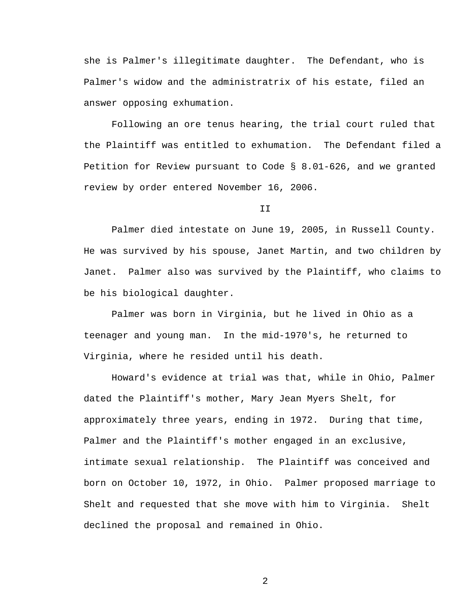she is Palmer's illegitimate daughter. The Defendant, who is Palmer's widow and the administratrix of his estate, filed an answer opposing exhumation.

 Following an ore tenus hearing, the trial court ruled that the Plaintiff was entitled to exhumation. The Defendant filed a Petition for Review pursuant to Code § 8.01-626, and we granted review by order entered November 16, 2006.

II

 Palmer died intestate on June 19, 2005, in Russell County. He was survived by his spouse, Janet Martin, and two children by Janet. Palmer also was survived by the Plaintiff, who claims to be his biological daughter.

 Palmer was born in Virginia, but he lived in Ohio as a teenager and young man. In the mid-1970's, he returned to Virginia, where he resided until his death.

 Howard's evidence at trial was that, while in Ohio, Palmer dated the Plaintiff's mother, Mary Jean Myers Shelt, for approximately three years, ending in 1972. During that time, Palmer and the Plaintiff's mother engaged in an exclusive, intimate sexual relationship. The Plaintiff was conceived and born on October 10, 1972, in Ohio. Palmer proposed marriage to Shelt and requested that she move with him to Virginia. Shelt declined the proposal and remained in Ohio.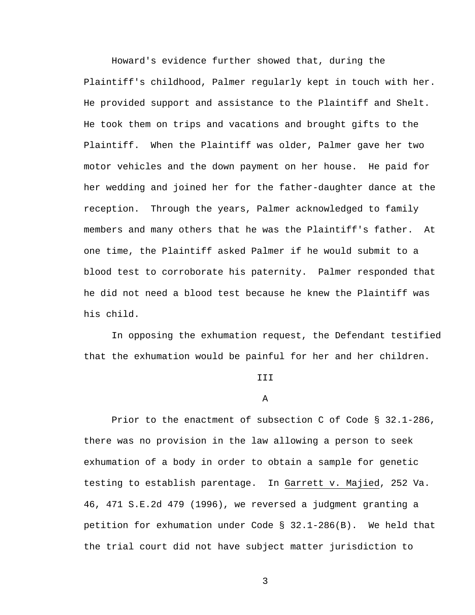Howard's evidence further showed that, during the Plaintiff's childhood, Palmer regularly kept in touch with her. He provided support and assistance to the Plaintiff and Shelt. He took them on trips and vacations and brought gifts to the Plaintiff. When the Plaintiff was older, Palmer gave her two motor vehicles and the down payment on her house. He paid for her wedding and joined her for the father-daughter dance at the reception. Through the years, Palmer acknowledged to family members and many others that he was the Plaintiff's father. At one time, the Plaintiff asked Palmer if he would submit to a blood test to corroborate his paternity. Palmer responded that he did not need a blood test because he knew the Plaintiff was his child.

 In opposing the exhumation request, the Defendant testified that the exhumation would be painful for her and her children.

## **III**

## A

 Prior to the enactment of subsection C of Code § 32.1-286, there was no provision in the law allowing a person to seek exhumation of a body in order to obtain a sample for genetic testing to establish parentage. In Garrett v. Majied, 252 Va. 46, 471 S.E.2d 479 (1996), we reversed a judgment granting a petition for exhumation under Code § 32.1-286(B). We held that the trial court did not have subject matter jurisdiction to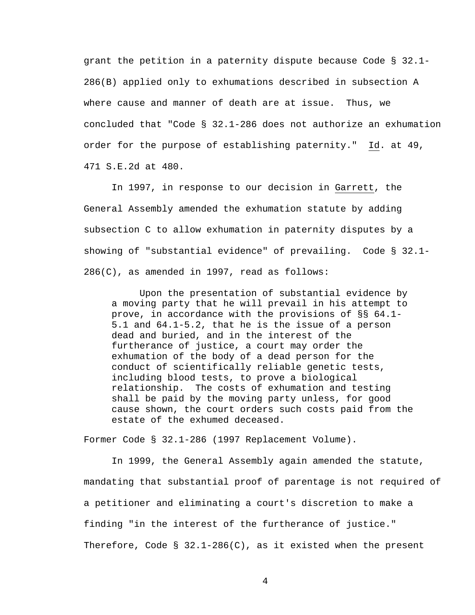grant the petition in a paternity dispute because Code § 32.1- 286(B) applied only to exhumations described in subsection A where cause and manner of death are at issue. Thus, we concluded that "Code § 32.1-286 does not authorize an exhumation order for the purpose of establishing paternity." Id. at 49, 471 S.E.2d at 480.

 In 1997, in response to our decision in Garrett, the General Assembly amended the exhumation statute by adding subsection C to allow exhumation in paternity disputes by a showing of "substantial evidence" of prevailing. Code § 32.1- 286(C), as amended in 1997, read as follows:

 Upon the presentation of substantial evidence by a moving party that he will prevail in his attempt to prove, in accordance with the provisions of §§ 64.1- 5.1 and 64.1-5.2, that he is the issue of a person dead and buried, and in the interest of the furtherance of justice, a court may order the exhumation of the body of a dead person for the conduct of scientifically reliable genetic tests, including blood tests, to prove a biological relationship. The costs of exhumation and testing shall be paid by the moving party unless, for good cause shown, the court orders such costs paid from the estate of the exhumed deceased.

Former Code § 32.1-286 (1997 Replacement Volume).

 In 1999, the General Assembly again amended the statute, mandating that substantial proof of parentage is not required of a petitioner and eliminating a court's discretion to make a finding "in the interest of the furtherance of justice." Therefore, Code §  $32.1-286(C)$ , as it existed when the present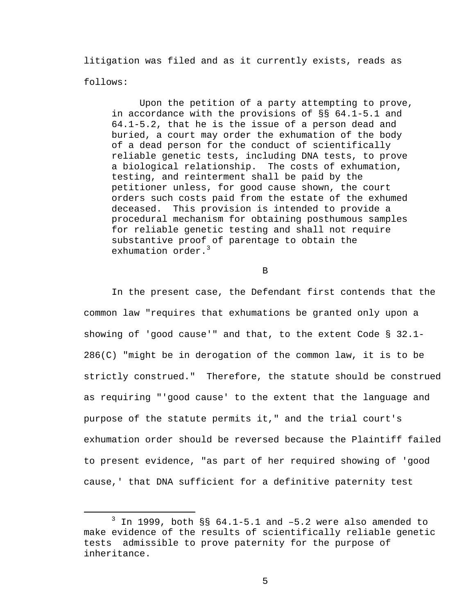litigation was filed and as it currently exists, reads as follows:

 Upon the petition of a party attempting to prove, in accordance with the provisions of §§ 64.1-5.1 and 64.1-5.2, that he is the issue of a person dead and buried, a court may order the exhumation of the body of a dead person for the conduct of scientifically reliable genetic tests, including DNA tests, to prove a biological relationship. The costs of exhumation, testing, and reinterment shall be paid by the petitioner unless, for good cause shown, the court orders such costs paid from the estate of the exhumed deceased. This provision is intended to provide a procedural mechanism for obtaining posthumous samples for reliable genetic testing and shall not require substantive proof of parentage to obtain the exhumation order.<sup>3</sup>

B

 In the present case, the Defendant first contends that the common law "requires that exhumations be granted only upon a showing of 'good cause'" and that, to the extent Code § 32.1- 286(C) "might be in derogation of the common law, it is to be strictly construed." Therefore, the statute should be construed as requiring "'good cause' to the extent that the language and purpose of the statute permits it," and the trial court's exhumation order should be reversed because the Plaintiff failed to present evidence, "as part of her required showing of 'good cause,' that DNA sufficient for a definitive paternity test

 $\overline{\phantom{a}}$  3  $3$  In 1999, both  $\S$ § 64.1-5.1 and -5.2 were also amended to make evidence of the results of scientifically reliable genetic tests admissible to prove paternity for the purpose of inheritance.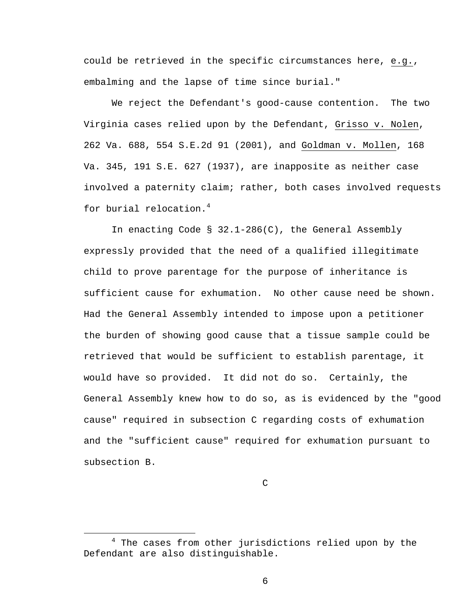could be retrieved in the specific circumstances here, e.g., embalming and the lapse of time since burial."

 We reject the Defendant's good-cause contention. The two Virginia cases relied upon by the Defendant, Grisso v. Nolen, 262 Va. 688, 554 S.E.2d 91 (2001), and Goldman v. Mollen, 168 Va. 345, 191 S.E. 627 (1937), are inapposite as neither case involved a paternity claim; rather, both cases involved requests for burial relocation.<sup>4</sup>

 In enacting Code § 32.1-286(C), the General Assembly expressly provided that the need of a qualified illegitimate child to prove parentage for the purpose of inheritance is sufficient cause for exhumation. No other cause need be shown. Had the General Assembly intended to impose upon a petitioner the burden of showing good cause that a tissue sample could be retrieved that would be sufficient to establish parentage, it would have so provided. It did not do so. Certainly, the General Assembly knew how to do so, as is evidenced by the "good cause" required in subsection C regarding costs of exhumation and the "sufficient cause" required for exhumation pursuant to subsection B.

 $\mathsf C$ 

 $\overline{4}$  $4$  The cases from other jurisdictions relied upon by the Defendant are also distinguishable.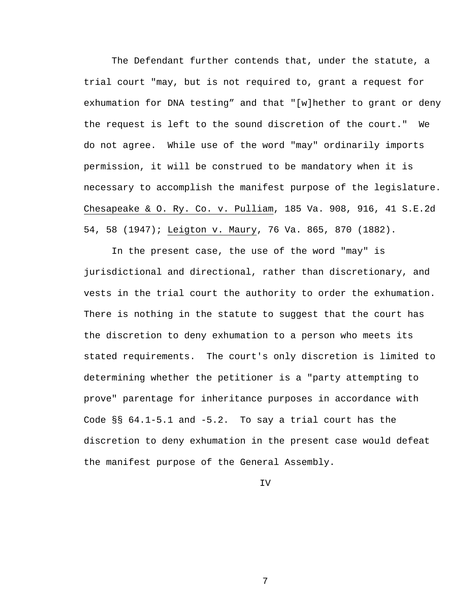The Defendant further contends that, under the statute, a trial court "may, but is not required to, grant a request for exhumation for DNA testing" and that "[w]hether to grant or deny the request is left to the sound discretion of the court." We do not agree. While use of the word "may" ordinarily imports permission, it will be construed to be mandatory when it is necessary to accomplish the manifest purpose of the legislature. Chesapeake & O. Ry. Co. v. Pulliam, 185 Va. 908, 916, 41 S.E.2d 54, 58 (1947); Leigton v. Maury, 76 Va. 865, 870 (1882).

 In the present case, the use of the word "may" is jurisdictional and directional, rather than discretionary, and vests in the trial court the authority to order the exhumation. There is nothing in the statute to suggest that the court has the discretion to deny exhumation to a person who meets its stated requirements. The court's only discretion is limited to determining whether the petitioner is a "party attempting to prove" parentage for inheritance purposes in accordance with Code §§ 64.1-5.1 and -5.2. To say a trial court has the discretion to deny exhumation in the present case would defeat the manifest purpose of the General Assembly.

IV